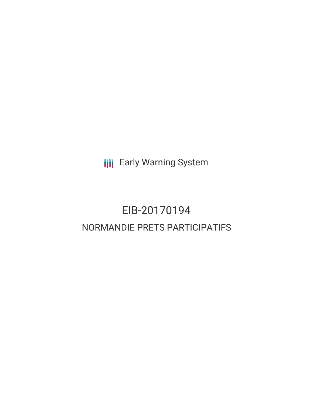**III** Early Warning System

# EIB-20170194 NORMANDIE PRETS PARTICIPATIFS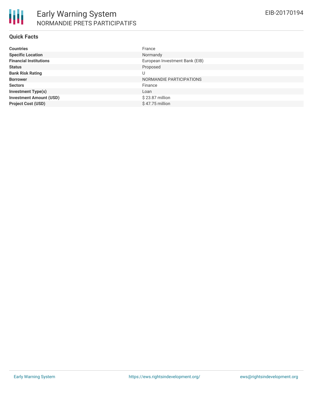#### **Quick Facts**

| <b>Countries</b>               | France                         |
|--------------------------------|--------------------------------|
| <b>Specific Location</b>       | Normandy                       |
| <b>Financial Institutions</b>  | European Investment Bank (EIB) |
| <b>Status</b>                  | Proposed                       |
| <b>Bank Risk Rating</b>        | U                              |
| <b>Borrower</b>                | NORMANDIE PARTICIPATIONS       |
| <b>Sectors</b>                 | Finance                        |
| <b>Investment Type(s)</b>      | Loan                           |
| <b>Investment Amount (USD)</b> | \$23.87 million                |
| <b>Project Cost (USD)</b>      | $$47.75$ million               |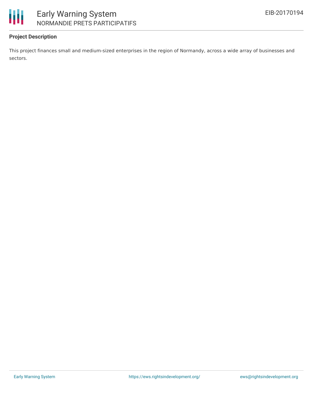



## **Project Description**

This project finances small and medium-sized enterprises in the region of Normandy, across a wide array of businesses and sectors.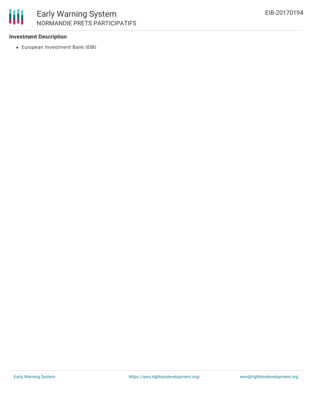

### **Investment Description**

European Investment Bank (EIB)